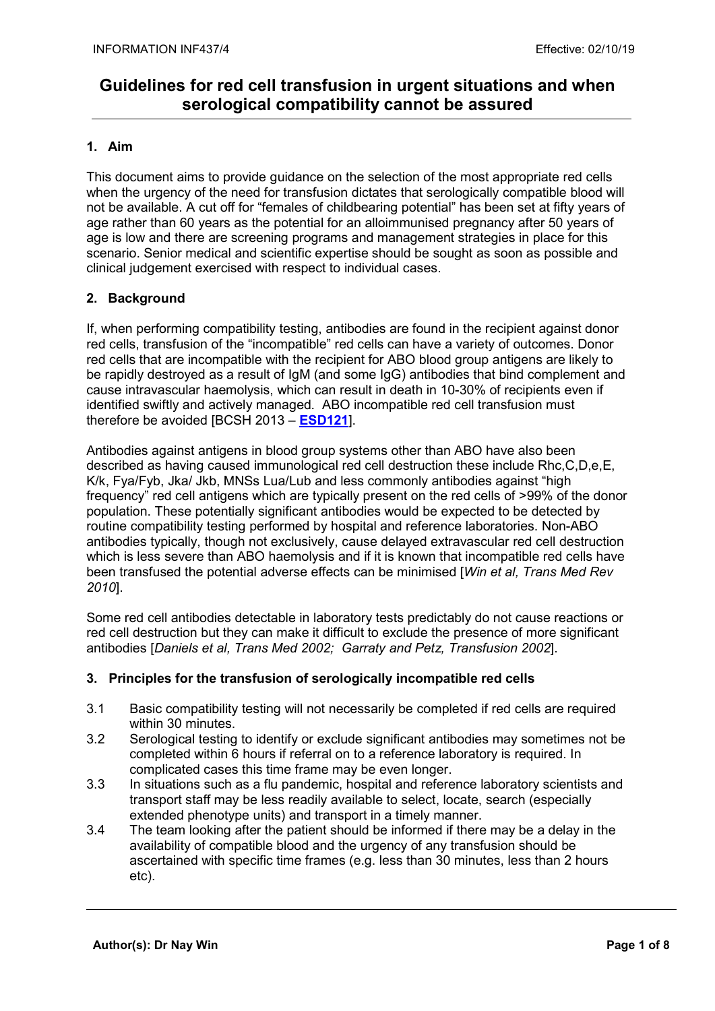### 1. Aim

This document aims to provide guidance on the selection of the most appropriate red cells when the urgency of the need for transfusion dictates that serologically compatible blood will not be available. A cut off for "females of childbearing potential" has been set at fifty years of age rather than 60 years as the potential for an alloimmunised pregnancy after 50 years of age is low and there are screening programs and management strategies in place for this scenario. Senior medical and scientific expertise should be sought as soon as possible and clinical judgement exercised with respect to individual cases.

#### 2. Background

If, when performing compatibility testing, antibodies are found in the recipient against donor red cells, transfusion of the "incompatible" red cells can have a variety of outcomes. Donor red cells that are incompatible with the recipient for ABO blood group antigens are likely to be rapidly destroyed as a result of IgM (and some IgG) antibodies that bind complement and cause intravascular haemolysis, which can result in death in 10-30% of recipients even if identified swiftly and actively managed. ABO incompatible red cell transfusion must therefore be avoided [BCSH 2013 – ESD121].

Antibodies against antigens in blood group systems other than ABO have also been described as having caused immunological red cell destruction these include Rhc,C,D,e,E, K/k, Fya/Fyb, Jka/ Jkb, MNSs Lua/Lub and less commonly antibodies against "high frequency" red cell antigens which are typically present on the red cells of >99% of the donor population. These potentially significant antibodies would be expected to be detected by routine compatibility testing performed by hospital and reference laboratories. Non-ABO antibodies typically, though not exclusively, cause delayed extravascular red cell destruction which is less severe than ABO haemolysis and if it is known that incompatible red cells have been transfused the potential adverse effects can be minimised *[Win et al, Trans Med Rev* 2010].

Some red cell antibodies detectable in laboratory tests predictably do not cause reactions or red cell destruction but they can make it difficult to exclude the presence of more significant antibodies [Daniels et al, Trans Med 2002; Garraty and Petz, Transfusion 2002].

#### 3. Principles for the transfusion of serologically incompatible red cells

- 3.1 Basic compatibility testing will not necessarily be completed if red cells are required within 30 minutes.
- 3.2 Serological testing to identify or exclude significant antibodies may sometimes not be completed within 6 hours if referral on to a reference laboratory is required. In complicated cases this time frame may be even longer.
- 3.3 In situations such as a flu pandemic, hospital and reference laboratory scientists and transport staff may be less readily available to select, locate, search (especially extended phenotype units) and transport in a timely manner.
- 3.4 The team looking after the patient should be informed if there may be a delay in the availability of compatible blood and the urgency of any transfusion should be ascertained with specific time frames (e.g. less than 30 minutes, less than 2 hours etc).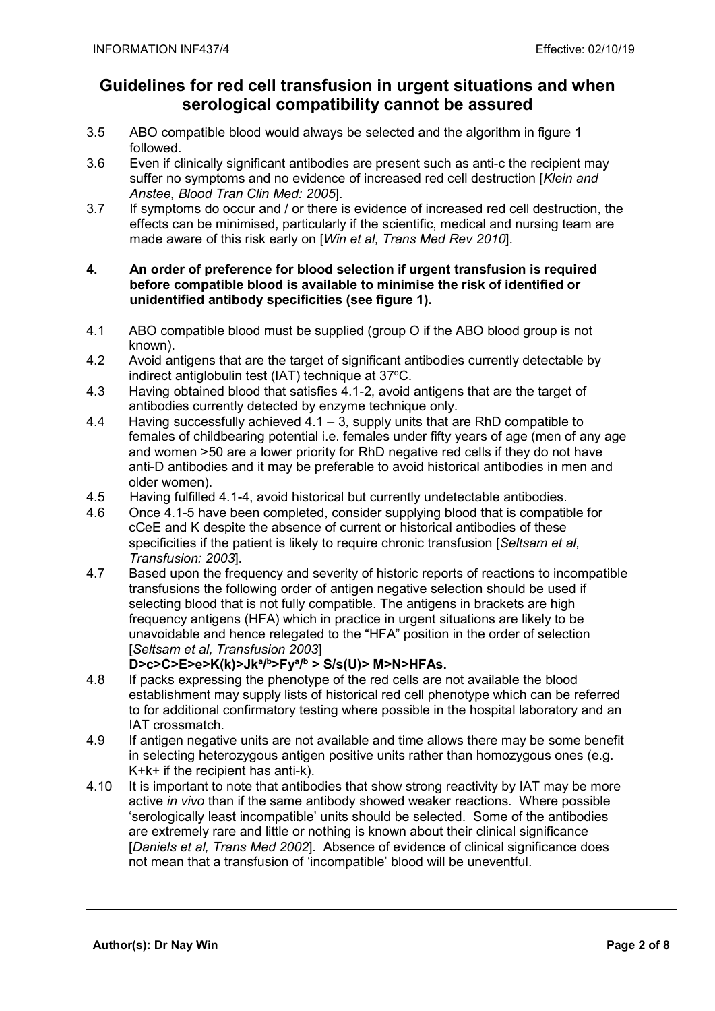- 3.5 ABO compatible blood would always be selected and the algorithm in figure 1 followed.
- 3.6 Even if clinically significant antibodies are present such as anti-c the recipient may suffer no symptoms and no evidence of increased red cell destruction [Klein and Anstee, Blood Tran Clin Med: 2005].<br>3.7 If symptoms do occur and / or there i
- If symptoms do occur and / or there is evidence of increased red cell destruction, the effects can be minimised, particularly if the scientific, medical and nursing team are made aware of this risk early on [Win et al, Trans Med Rev 2010].

#### 4. An order of preference for blood selection if urgent transfusion is required before compatible blood is available to minimise the risk of identified or unidentified antibody specificities (see figure 1).

- 4.1 ABO compatible blood must be supplied (group O if the ABO blood group is not known).
- 4.2 Avoid antigens that are the target of significant antibodies currently detectable by indirect antiglobulin test (IAT) technique at 37°C.
- 4.3 Having obtained blood that satisfies 4.1-2, avoid antigens that are the target of antibodies currently detected by enzyme technique only.
- 4.4 Having successfully achieved 4.1 3, supply units that are RhD compatible to females of childbearing potential i.e. females under fifty years of age (men of any age and women >50 are a lower priority for RhD negative red cells if they do not have anti-D antibodies and it may be preferable to avoid historical antibodies in men and older women).
- 4.5 Having fulfilled 4.1-4, avoid historical but currently undetectable antibodies.
- 4.6 Once 4.1-5 have been completed, consider supplying blood that is compatible for cCeE and K despite the absence of current or historical antibodies of these specificities if the patient is likely to require chronic transfusion [Seltsam et al. Transfusion: 2003].<br>4.7 Based upon the free
- Based upon the frequency and severity of historic reports of reactions to incompatible transfusions the following order of antigen negative selection should be used if selecting blood that is not fully compatible. The antigens in brackets are high frequency antigens (HFA) which in practice in urgent situations are likely to be unavoidable and hence relegated to the "HFA" position in the order of selection [Seltsam et al, Transfusion 2003]

#### D>c>C>E>e>K(k)>Jkª/<sup>b</sup>>Fyª/<sup>b</sup>> S/s(U)> M>N>HFAs.

- 4.8 If packs expressing the phenotype of the red cells are not available the blood establishment may supply lists of historical red cell phenotype which can be referred to for additional confirmatory testing where possible in the hospital laboratory and an IAT crossmatch.
- 4.9 If antigen negative units are not available and time allows there may be some benefit in selecting heterozygous antigen positive units rather than homozygous ones (e.g. K+k+ if the recipient has anti-k).
- 4.10 It is important to note that antibodies that show strong reactivity by IAT may be more active in vivo than if the same antibody showed weaker reactions. Where possible 'serologically least incompatible' units should be selected. Some of the antibodies are extremely rare and little or nothing is known about their clinical significance [Daniels et al, Trans Med 2002]. Absence of evidence of clinical significance does not mean that a transfusion of 'incompatible' blood will be uneventful.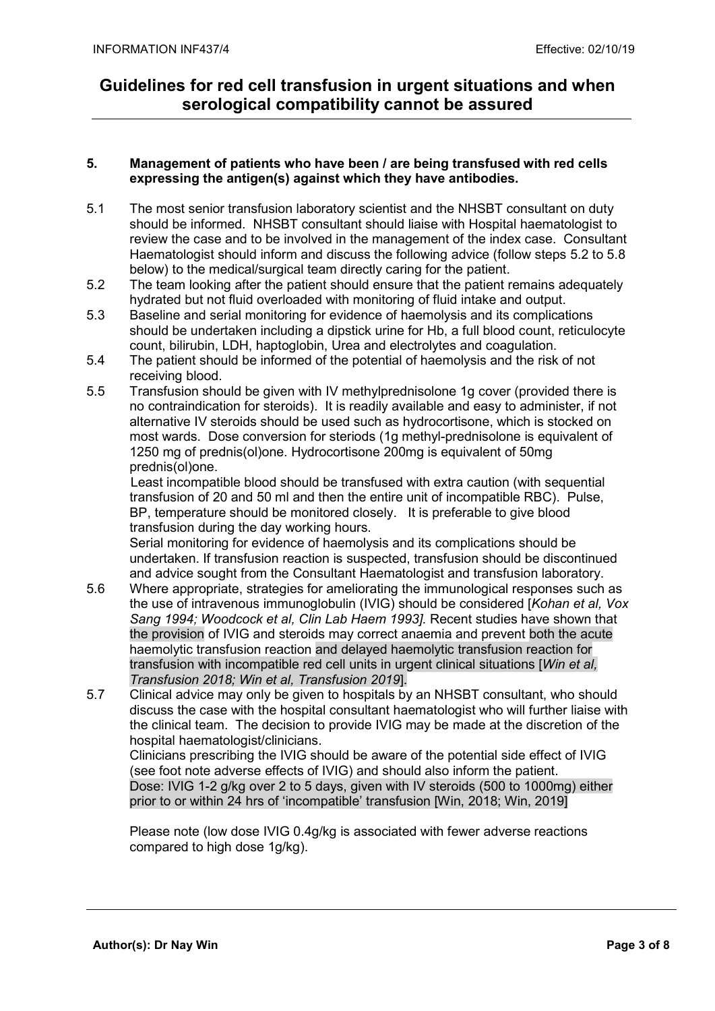#### 5. Management of patients who have been / are being transfused with red cells expressing the antigen(s) against which they have antibodies.

- 5.1 The most senior transfusion laboratory scientist and the NHSBT consultant on duty should be informed. NHSBT consultant should liaise with Hospital haematologist to review the case and to be involved in the management of the index case. Consultant Haematologist should inform and discuss the following advice (follow steps 5.2 to 5.8 below) to the medical/surgical team directly caring for the patient.
- 5.2 The team looking after the patient should ensure that the patient remains adequately hydrated but not fluid overloaded with monitoring of fluid intake and output.
- 5.3 Baseline and serial monitoring for evidence of haemolysis and its complications should be undertaken including a dipstick urine for Hb, a full blood count, reticulocyte count, bilirubin, LDH, haptoglobin, Urea and electrolytes and coagulation.
- 5.4 The patient should be informed of the potential of haemolysis and the risk of not receiving blood.
- 5.5 Transfusion should be given with IV methylprednisolone 1g cover (provided there is no contraindication for steroids). It is readily available and easy to administer, if not alternative IV steroids should be used such as hydrocortisone, which is stocked on most wards. Dose conversion for steriods (1g methyl-prednisolone is equivalent of 1250 mg of prednis(ol)one. Hydrocortisone 200mg is equivalent of 50mg prednis(ol)one.

 Least incompatible blood should be transfused with extra caution (with sequential transfusion of 20 and 50 ml and then the entire unit of incompatible RBC). Pulse, BP, temperature should be monitored closely. It is preferable to give blood transfusion during the day working hours.

Serial monitoring for evidence of haemolysis and its complications should be undertaken. If transfusion reaction is suspected, transfusion should be discontinued and advice sought from the Consultant Haematologist and transfusion laboratory.

- 5.6 Where appropriate, strategies for ameliorating the immunological responses such as the use of intravenous immunoglobulin (IVIG) should be considered [Kohan et al, Vox Sang 1994; Woodcock et al, Clin Lab Haem 1993]. Recent studies have shown that the provision of IVIG and steroids may correct anaemia and prevent both the acute haemolytic transfusion reaction and delayed haemolytic transfusion reaction for transfusion with incompatible red cell units in urgent clinical situations [Win et al. Transfusion 2018; Win et al, Transfusion 2019].
- 5.7 Clinical advice may only be given to hospitals by an NHSBT consultant, who should discuss the case with the hospital consultant haematologist who will further liaise with the clinical team. The decision to provide IVIG may be made at the discretion of the hospital haematologist/clinicians.

Clinicians prescribing the IVIG should be aware of the potential side effect of IVIG (see foot note adverse effects of IVIG) and should also inform the patient. Dose: IVIG 1-2 g/kg over 2 to 5 days, given with IV steroids (500 to 1000mg) either prior to or within 24 hrs of 'incompatible' transfusion [Win, 2018; Win, 2019]

 Please note (low dose IVIG 0.4g/kg is associated with fewer adverse reactions compared to high dose 1g/kg).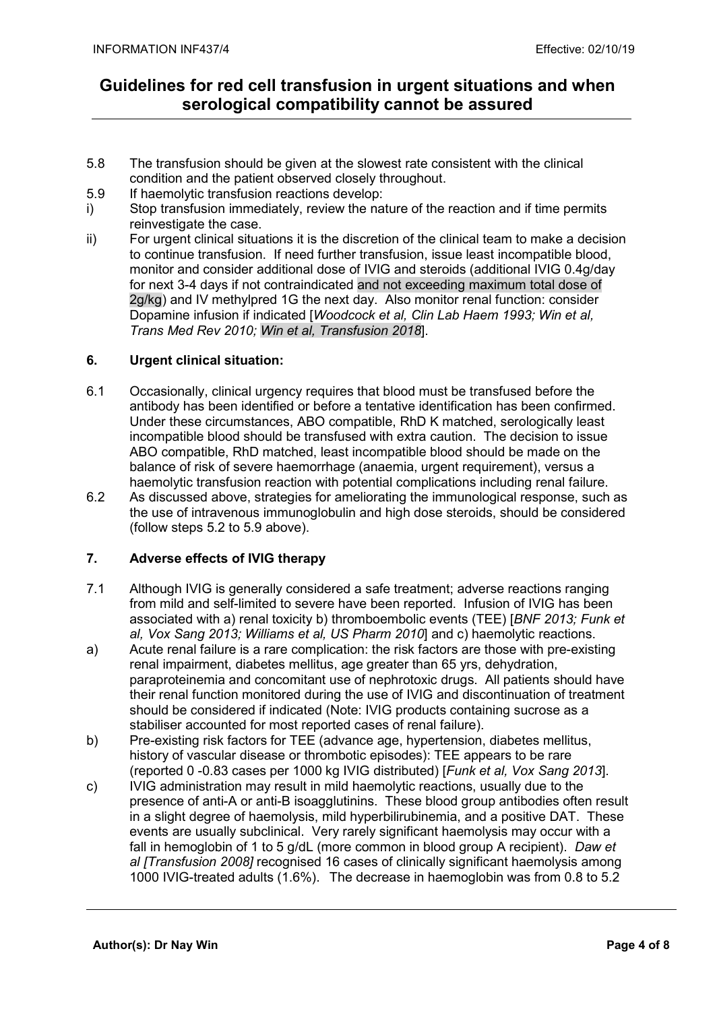- 5.8 The transfusion should be given at the slowest rate consistent with the clinical condition and the patient observed closely throughout.
- 5.9 If haemolytic transfusion reactions develop:
- i) Stop transfusion immediately, review the nature of the reaction and if time permits reinvestigate the case.
- ii) For urgent clinical situations it is the discretion of the clinical team to make a decision to continue transfusion. If need further transfusion, issue least incompatible blood, monitor and consider additional dose of IVIG and steroids (additional IVIG 0.4g/day for next 3-4 days if not contraindicated and not exceeding maximum total dose of 2g/kg) and IV methylpred 1G the next day. Also monitor renal function: consider Dopamine infusion if indicated [Woodcock et al, Clin Lab Haem 1993; Win et al, Trans Med Rev 2010; Win et al, Transfusion 2018].

#### 6. Urgent clinical situation:

- 6.1 Occasionally, clinical urgency requires that blood must be transfused before the antibody has been identified or before a tentative identification has been confirmed. Under these circumstances, ABO compatible, RhD K matched, serologically least incompatible blood should be transfused with extra caution. The decision to issue ABO compatible, RhD matched, least incompatible blood should be made on the balance of risk of severe haemorrhage (anaemia, urgent requirement), versus a haemolytic transfusion reaction with potential complications including renal failure.
- 6.2 As discussed above, strategies for ameliorating the immunological response, such as the use of intravenous immunoglobulin and high dose steroids, should be considered (follow steps 5.2 to 5.9 above).

#### 7. Adverse effects of IVIG therapy

- 7.1 Although IVIG is generally considered a safe treatment; adverse reactions ranging from mild and self-limited to severe have been reported. Infusion of IVIG has been associated with a) renal toxicity b) thromboembolic events (TEE) [BNF 2013; Funk et al, Vox Sang 2013; Williams et al, US Pharm 2010] and c) haemolytic reactions.
- a) Acute renal failure is a rare complication: the risk factors are those with pre-existing renal impairment, diabetes mellitus, age greater than 65 yrs, dehydration, paraproteinemia and concomitant use of nephrotoxic drugs. All patients should have their renal function monitored during the use of IVIG and discontinuation of treatment should be considered if indicated (Note: IVIG products containing sucrose as a stabiliser accounted for most reported cases of renal failure).
- b) Pre-existing risk factors for TEE (advance age, hypertension, diabetes mellitus, history of vascular disease or thrombotic episodes): TEE appears to be rare (reported 0 -0.83 cases per 1000 kg IVIG distributed) [Funk et al, Vox Sang 2013].
- c) IVIG administration may result in mild haemolytic reactions, usually due to the presence of anti-A or anti-B isoagglutinins. These blood group antibodies often result in a slight degree of haemolysis, mild hyperbilirubinemia, and a positive DAT. These events are usually subclinical. Very rarely significant haemolysis may occur with a fall in hemoglobin of 1 to 5 g/dL (more common in blood group A recipient). Daw et al *ITransfusion 2008]* recognised 16 cases of clinically significant haemolysis among 1000 IVIG-treated adults (1.6%). The decrease in haemoglobin was from 0.8 to 5.2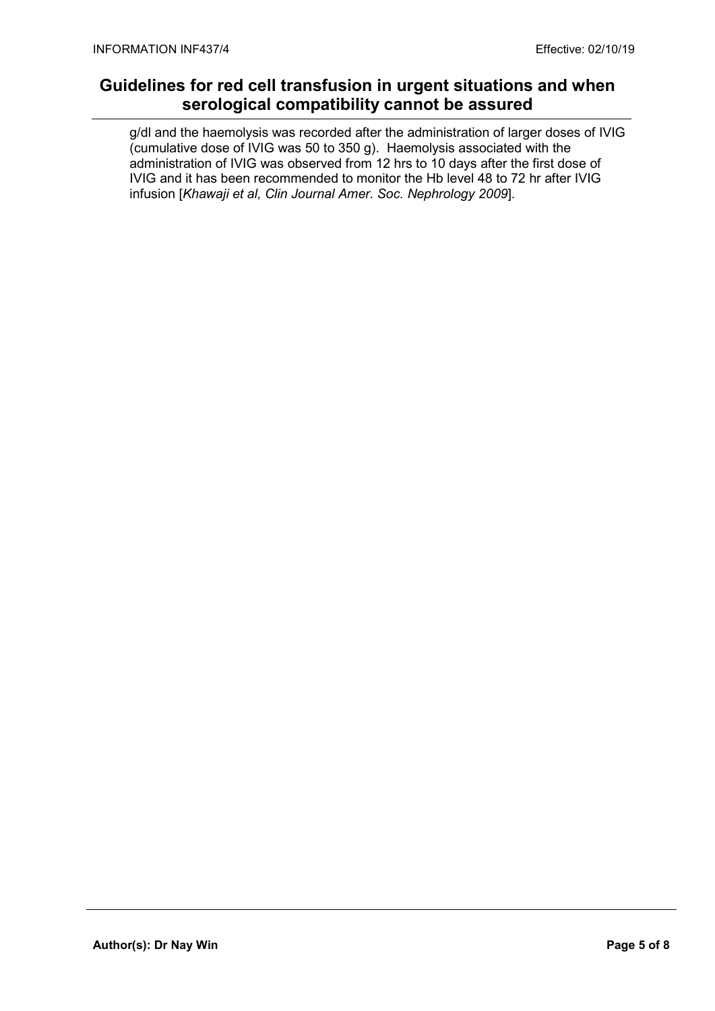g/dl and the haemolysis was recorded after the administration of larger doses of IVIG (cumulative dose of IVIG was 50 to 350 g). Haemolysis associated with the administration of IVIG was observed from 12 hrs to 10 days after the first dose of IVIG and it has been recommended to monitor the Hb level 48 to 72 hr after IVIG infusion [Khawaji et al, Clin Journal Amer. Soc. Nephrology 2009].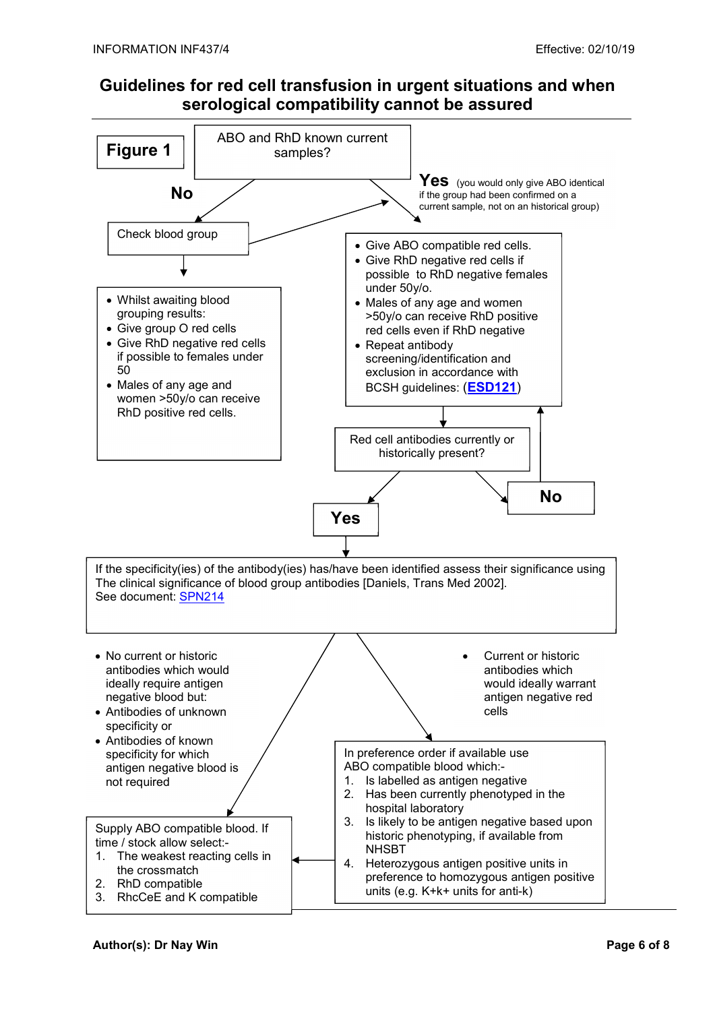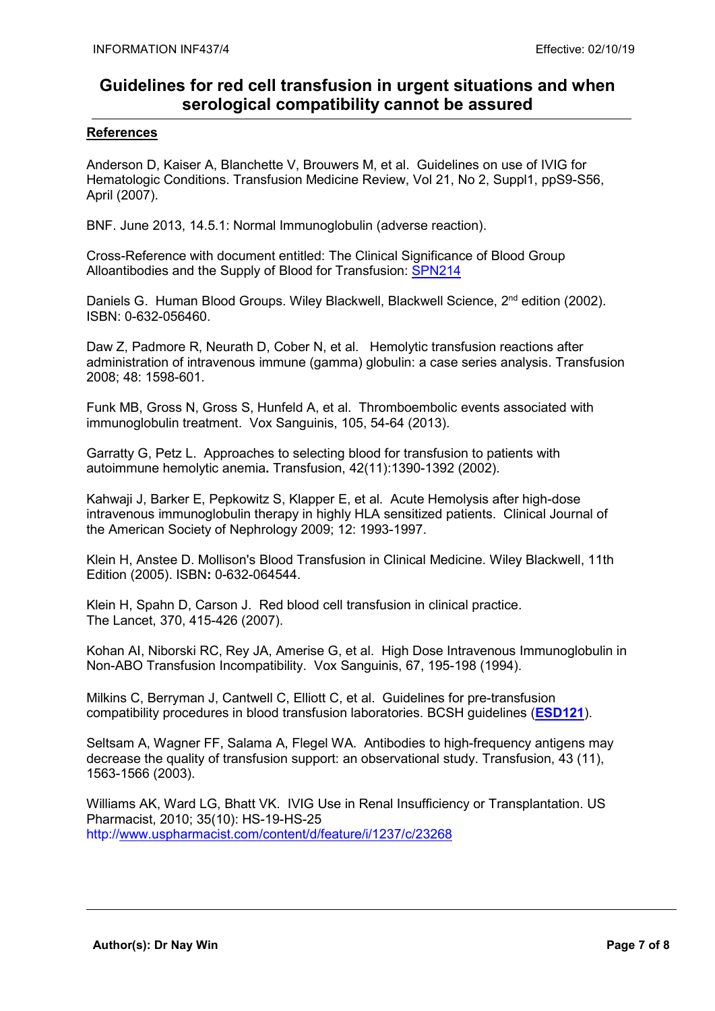#### References

Anderson D, Kaiser A, Blanchette V, Brouwers M, et al. Guidelines on use of IVIG for Hematologic Conditions. Transfusion Medicine Review, Vol 21, No 2, Suppl1, ppS9-S56, April (2007).

BNF. June 2013, 14.5.1: Normal Immunoglobulin (adverse reaction).

Cross-Reference with document entitled: The Clinical Significance of Blood Group Alloantibodies and the Supply of Blood for Transfusion: SPN214

Daniels G. Human Blood Groups. Wiley Blackwell, Blackwell Science, 2<sup>nd</sup> edition (2002). ISBN: 0-632-056460.

Daw Z, Padmore R, Neurath D, Cober N, et al. Hemolytic transfusion reactions after administration of intravenous immune (gamma) globulin: a case series analysis. Transfusion 2008; 48: 1598-601.

Funk MB, Gross N, Gross S, Hunfeld A, et al. Thromboembolic events associated with immunoglobulin treatment. Vox Sanguinis, 105, 54-64 (2013).

Garratty G, Petz L. Approaches to selecting blood for transfusion to patients with autoimmune hemolytic anemia. Transfusion, 42(11):1390-1392 (2002).

Kahwaji J, Barker E, Pepkowitz S, Klapper E, et al. Acute Hemolysis after high-dose intravenous immunoglobulin therapy in highly HLA sensitized patients. Clinical Journal of the American Society of Nephrology 2009; 12: 1993-1997.

Klein H, Anstee D. Mollison's Blood Transfusion in Clinical Medicine. Wiley Blackwell, 11th Edition (2005). ISBN: 0-632-064544.

Klein H, Spahn D, Carson J. Red blood cell transfusion in clinical practice. The Lancet, 370, 415-426 (2007).

Kohan AI, Niborski RC, Rey JA, Amerise G, et al. High Dose Intravenous Immunoglobulin in Non-ABO Transfusion Incompatibility. Vox Sanguinis, 67, 195-198 (1994).

Milkins C, Berryman J, Cantwell C, Elliott C, et al. Guidelines for pre-transfusion compatibility procedures in blood transfusion laboratories. BCSH guidelines (ESD121).

Seltsam A, Wagner FF, Salama A, Flegel WA. Antibodies to high-frequency antigens may decrease the quality of transfusion support: an observational study. Transfusion, 43 (11), 1563-1566 (2003).

Williams AK, Ward LG, Bhatt VK. IVIG Use in Renal Insufficiency or Transplantation. US Pharmacist, 2010; 35(10): HS-19-HS-25 http://www.uspharmacist.com/content/d/feature/i/1237/c/23268